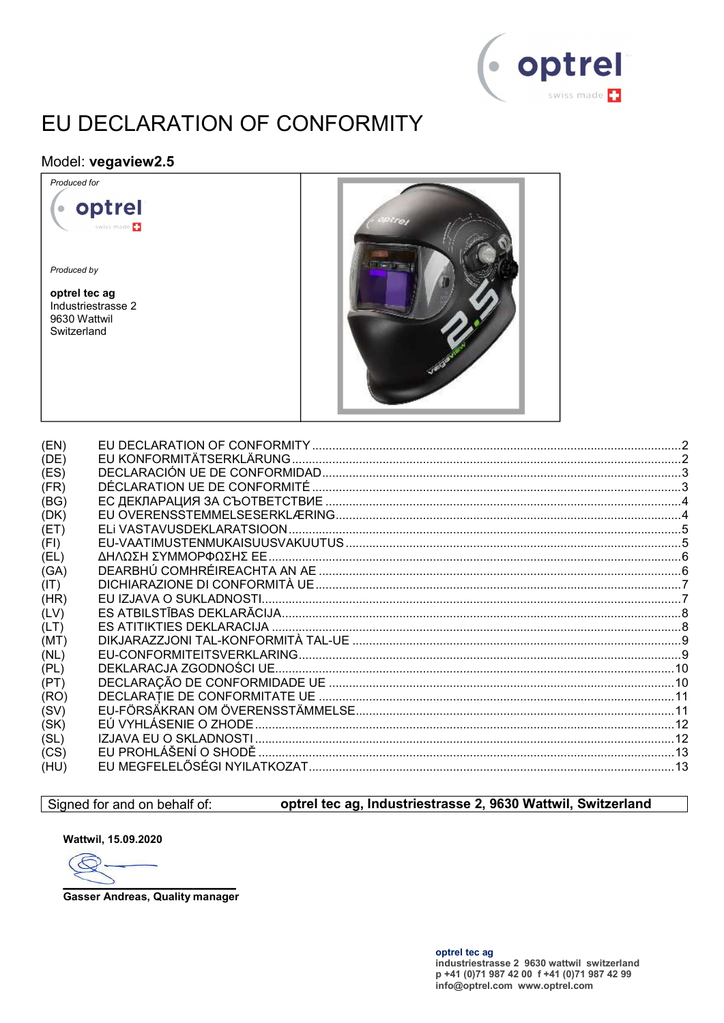

# EU DECLARATION OF CONFORMITY

#### Model: vegaview2.5

optrel

wiss made

Produced for

Produced by

optrel tec ag Industriestrasse 2 9630 Wattwil Switzerland

 $\bullet$ 



| (EN) |  |
|------|--|
| (DE) |  |
| (ES) |  |
| (FR) |  |
| (BG) |  |
| (DK) |  |
| (ET) |  |
| (FI) |  |
| (EL) |  |
| (GA) |  |
| (IT) |  |
| (HR) |  |
| (LV) |  |
| (LT) |  |
| (MT) |  |
| (NL) |  |
| (PL) |  |
| (PT) |  |
| (RO) |  |
| (SV) |  |
| (SK) |  |
| (SL) |  |
| (CS) |  |
| (HU) |  |
|      |  |

#### Signed for and on behalf of:

#### optrel tec ag, Industriestrasse 2, 9630 Wattwil, Switzerland

Wattwil, 15.09.2020

E

**Gasser Andreas, Quality manager**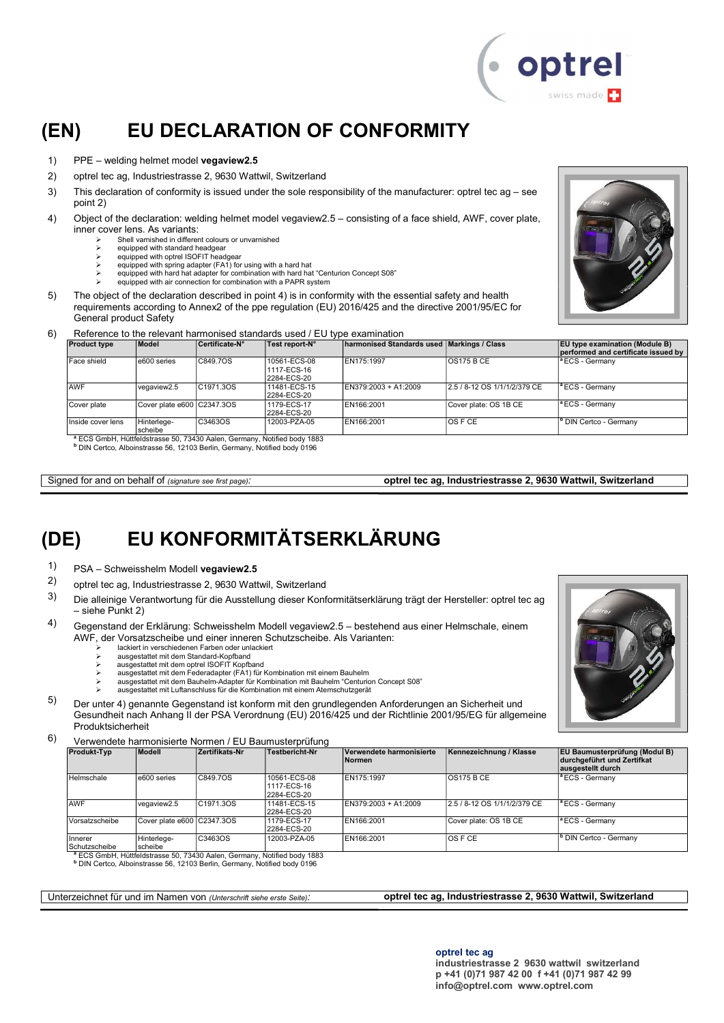

#### (EN) EU DECLARATION OF CONFORMITY

- 1) PPE welding helmet model vegaview2.5
- 2) optrel tec ag, Industriestrasse 2, 9630 Wattwil, Switzerland
- 3) This declaration of conformity is issued under the sole responsibility of the manufacturer: optrel tec ag see point 2)
- 4) Object of the declaration: welding helmet model vegaview2.5 consisting of a face shield, AWF, cover plate, inner cover lens. As variants:
	- $\geq$  Shell varnished in different colours or unvarnished
		- equipped with standard headgear equipped with optrel ISOFIT headgear
		-
	- equipped with spring adapter (FA1) for using with a hard hat equipped with hard hat adapter for combination with hard hat "Centurion Concept S08"
		- equipped with air connection for combination with a PAPR system
- 5) The object of the declaration described in point 4) is in conformity with the essential safety and health requirements according to Annex2 of the ppe regulation (EU) 2016/425 and the directive 2001/95/EC for General product Safety



#### 6) Reference to the relevant harmonised standards used / EU type examination

| <b>Product type</b> | Model                      | Certificate N° | Test report-N°                                                                                                                                                              | ∣harmonised Standards used ∣Markings / Class |                              | <b>EU type examination (Module B)</b><br>performed and certificate issued by |
|---------------------|----------------------------|----------------|-----------------------------------------------------------------------------------------------------------------------------------------------------------------------------|----------------------------------------------|------------------------------|------------------------------------------------------------------------------|
| Face shield         | e600 series                | C849.7OS       | 10561-ECS-08<br>1117-ECS-16<br>2284-ECS-20                                                                                                                                  | EN175:1997                                   | <b>OS175 B CE</b>            | <sup>a</sup> ECS - Germanv                                                   |
| <b>AWF</b>          | vegaview2.5                | C1971.3OS      | 11481-ECS-15<br>2284-ECS-20                                                                                                                                                 | EN379:2003 + A1:2009                         | 2.5 / 8-12 OS 1/1/1/2/379 CE | <sup>a</sup> ECS - Germanv                                                   |
| Cover plate         | Cover plate e600 C2347.3OS |                | 1179-ECS-17<br>2284-ECS-20                                                                                                                                                  | EN166:2001                                   | Cover plate: OS 1B CE        | <sup>a</sup> ECS - Germany                                                   |
| Inside cover lens   | Hinterlege-<br>scheibe     | C3463OS        | 12003-PZA-05                                                                                                                                                                | EN166:2001                                   | <b>OSFCE</b>                 | <sup>b</sup> DIN Certco - Germany                                            |
|                     |                            |                | <sup>a</sup> ECS GmbH, Hüttfeldstrasse 50, 73430 Aalen, Germany, Notified body 1883<br><sup>b</sup> DIN Certco, Alboinstrasse 56, 12103 Berlin, Germany, Notified body 0196 |                                              |                              |                                                                              |

Signed for and on behalf of (signature see first page): optrel tec ag, Industriestrasse 2, 9630 Wattwil, Switzerland

### (DE) EU KONFORMITÄTSERKLÄRUNG

- 1)  $PSA Schweisshelm Modell **vegaview2.5**$ <br>2)  $S<sub>1</sub> = (1/2)(1/2)$
- 2) optrel tec ag, Industriestrasse 2, 9630 Wattwil, Switzerland
- 3) Die alleinige Verantwortung für die Ausstellung dieser Konformitätserklärung trägt der Hersteller: optrel tec ag – siehe Punkt 2)
- 4) Gegenstand der Erklärung: Schweisshelm Modell vegaview2.5 bestehend aus einer Helmschale, einem AWF, der Vorsatzscheibe und einer inneren Schutzscheibe. Als Varianten:
	- lackiert in verschiedenen Farben oder unlackiert
	- ausgestattet mit dem Standard-Kopfband
	- ausgestattet mit dem optrel ISOFIT Kopfband
	- ausgestattet mit dem Federadapter (FA1) für Kombination mit einem Bauhelm
	- ausgestattet mit dem Bauhelm-Adapter für Kombination mit Bauhelm "Centurion Concept S08" ausgestattet mit Luftanschluss für die Kombination mit einem Atemschutzgerät
	-

5) Der unter 4) genannte Gegenstand ist konform mit den grundlegenden Anforderungen an Sicherheit und Gesundheit nach Anhang II der PSA Verordnung (EU) 2016/425 und der Richtlinie 2001/95/EG für allgemeine Produktsicherheit

6) Verwendete harmonisierte Normen / EU Baumusterprüfung

| <b>Produkt-Typ</b>       | Modell                     | Zertifikats-Nr         | <b>Testbericht-Nr</b>                      | Verwendete harmonisierte<br><b>Normen</b> | Kennezeichnung / Klasse      | <b>EU Baumusterprüfung (Modul B)</b><br>durchgeführt und Zertifkat<br>ausgestellt durch |
|--------------------------|----------------------------|------------------------|--------------------------------------------|-------------------------------------------|------------------------------|-----------------------------------------------------------------------------------------|
| Helmschale               | e600 series                | C849.7OS               | 10561-ECS-08<br>1117-ECS-16<br>2284-ECS-20 | EN175:1997                                | IOS175 B CE                  | <sup>a</sup> ECS - Germany                                                              |
| AWF                      | vegaview2.5                | C <sub>1971.3</sub> OS | 11481-ECS-15<br>2284-ECS-20                | EN379:2003 + A1:2009                      | 2.5 / 8-12 OS 1/1/1/2/379 CE | <sup>a</sup> ECS - Germany                                                              |
| Vorsatzscheibe           | Cover plate e600 C2347.3OS |                        | 1179-ECS-17<br>2284-ECS-20                 | EN166:2001                                | Cover plate: OS 1B CE        | <sup>a</sup> ECS - Germany                                                              |
| Innerer<br>Schutzscheibe | Hinterlege-<br>scheibe     | C3463OS                | 12003-PZA-05                               | EN166:2001                                | $OS$ F CE                    | <sup>I</sup> <sup>b</sup> DIN Certco - Germany                                          |

Schutzscheibe scheibe <sup>a</sup> ECS GmbH, Hüttfeldstrasse 50, 73430 Aalen, Germany, Notified body 1883 b DIN Certco, Alboinstrasse 56, 12103 Berlin, Germany, Notified body 0196

Unterzeichnet für und im Namen von (Unterschrift siehe erste Seite): optrel tec ag, Industriestrasse 2, 9630 Wattwil, Switzerland

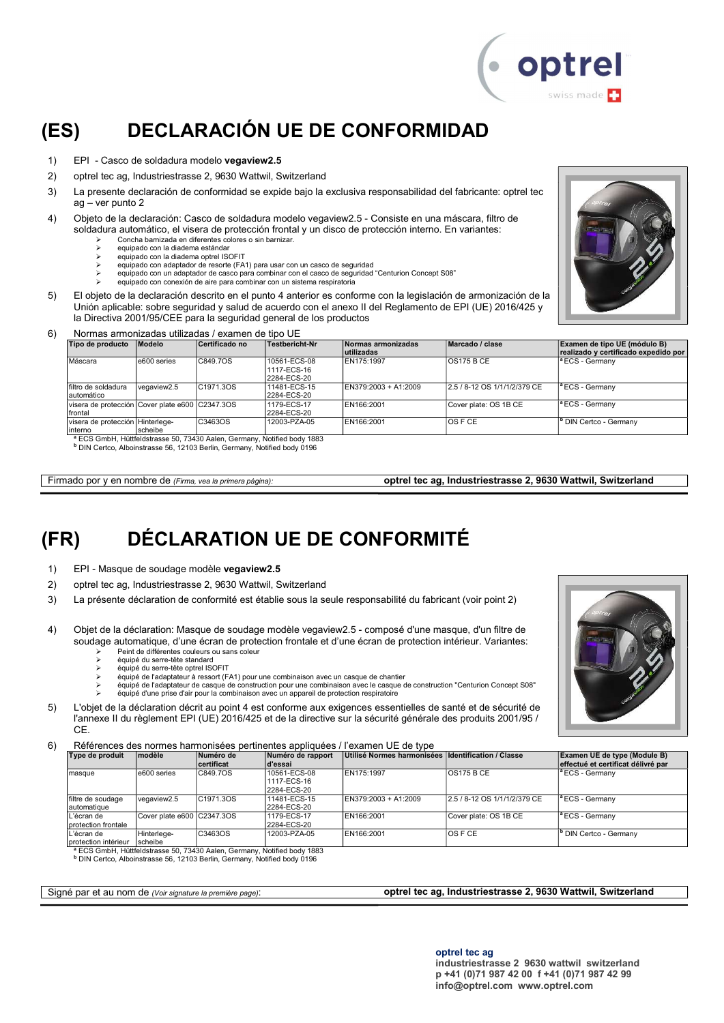

### (ES) DECLARACIÓN UE DE CONFORMIDAD

- 1) EPI Casco de soldadura modelo vegaview2.5
- 2) optrel tec ag, Industriestrasse 2, 9630 Wattwil, Switzerland
- 3) La presente declaración de conformidad se expide bajo la exclusiva responsabilidad del fabricante: optrel tec ag – ver punto 2
- 4) Objeto de la declaración: Casco de soldadura modelo vegaview2.5 Consiste en una máscara, filtro de soldadura automático, el visera de protección frontal y un disco de protección interno. En variantes:
	- $\ge$  Concha barnizada en diferentes colores o sin barnizar.
		- equipado con la diadema estándar
		- equipado con la diadema optrel ISOFIT
		- equipado con adaptador de resorte (FA1) para usar con un casco de seguridad equipado con un adaptador de casco para combinar con el casco de seguridad "Centurion Concept S08"
		- equipado con conexión de aire para combinar con un sistema respiratoria
- 5) El objeto de la declaración descrito en el punto 4 anterior es conforme con la legislación de armonización de la Unión aplicable: sobre seguridad y salud de acuerdo con el anexo II del Reglamento de EPI (UE) 2016/425 y la Directiva 2001/95/CEE para la seguridad general de los productos



#### 6) Normas armonizadas utilizadas / examen de tipo UE

| Tipo de producto                                            | Modelo      | Certificado no                                                                                 | Testbericht-Nr                             | Normas armonizadas<br>lutilizadas | Marcado / clase              | Examen de tipo UE (módulo B)<br>realizado y certificado expedido por |
|-------------------------------------------------------------|-------------|------------------------------------------------------------------------------------------------|--------------------------------------------|-----------------------------------|------------------------------|----------------------------------------------------------------------|
| Máscara                                                     | e600 series | C849.7OS                                                                                       | 10561-ECS-08<br>1117-ECS-16<br>2284-ECS-20 | EN175:1997                        | <b>OS175 B CE</b>            | <sup>a</sup> ECS - Germany                                           |
| Ifiltro de soldadura<br>automático                          | vegaview2.5 | C1971.3OS                                                                                      | 11481-ECS-15<br>2284-ECS-20                | EN379:2003 + A1:2009              | 2.5 / 8-12 OS 1/1/1/2/379 CE | <sup>a</sup> ECS - Germany                                           |
| visera de protección Cover plate e600 C2347.3OS<br>Ifrontal |             |                                                                                                | 1179-ECS-17<br>2284-ECS-20                 | EN166:2001                        | Cover plate: OS 1B CE        | $\vert$ <sup>a</sup> ECS - Germany                                   |
| visera de protección Hinterlege-<br>linterno                | scheibe     | C3463OS<br><sup>8</sup> FCS GmbH, Hüttfeldstrasse 50, 73430 Aalen, Germany, Notified body 1883 | 12003-PZA-05                               | EN166:2001                        | IOS F CE                     | <sup>b</sup> DIN Certco - Germanv                                    |

<sup>a</sup> ECS GmbH, Hüttfeldstrasse 50, 73430 Aalen, Germany, Notified body 1883<br><sup>b</sup> DIN Certco, Alboinstrasse 56, 12103 Berlin, Germany, Notified body 0196

Firmado por y en nombre de (Firma, vea la primera página): optrel tec ag, Industriestrasse 2, 9630 Wattwil, Switzerland

### (FR) DÉCLARATION UE DE CONFORMITÉ

- 1) EPI Masque de soudage modèle vegaview2.5
- 2) optrel tec ag, Industriestrasse 2, 9630 Wattwil, Switzerland
- 3) La présente déclaration de conformité est établie sous la seule responsabilité du fabricant (voir point 2)
- 4) Objet de la déclaration: Masque de soudage modèle vegaview2.5 composé d'une masque, d'un filtre de soudage automatique, d'une écran de protection frontale et d'une écran de protection intérieur. Variantes:
	- $\ge$  Peint de différentes couleurs ou sans coleur<br>  $\ge$  équiné du serre-tête standard équipé du serre-tête standard
	- équipé du serre-tête optrel ISOFIT
	-
	- équipé de l'adaptateur à ressort (FA1) pour une combinaison avec un casque de chantier équipé de l'adaptateur de casque de construction pour une combinaison avec le casque de construction "Centurion Concept S08"
	- équipé d'une prise d'air pour la combinaison avec un appareil de protection respiratoire
- 5) L'objet de la déclaration décrit au point 4 est conforme aux exigences essentielles de santé et de sécurité de l'annexe II du règlement EPI (UE) 2016/425 et de la directive sur la sécurité générale des produits 2001/95 / C<sub>E</sub>

6) Références des normes harmonisées pertinentes appliquées / l'examen UE de type

| Type de produit                     | <b>modèle</b>               | Numéro de<br><b>certificat</b> | Numéro de rapport<br>∣d'essai              | Utilisé Normes harmonisées Identification / Classe |                              | Examen UE de type (Module B)<br>effectué et certificat délivré par |
|-------------------------------------|-----------------------------|--------------------------------|--------------------------------------------|----------------------------------------------------|------------------------------|--------------------------------------------------------------------|
| masque                              | e600 series                 | C849.7OS                       | 10561-ECS-08<br>1117-ECS-16<br>2284-ECS-20 | EN175:1997                                         | <b>OS175 B CE</b>            | $^{\circ}$ ECS - Germany                                           |
| filtre de soudage<br>lautomatique   | vegaview2.5                 | C <sub>1971</sub> , 30S        | 11481-ECS-15<br>2284-ECS-20                | EN379:2003 + A1:2009                               | 2.5 / 8-12 OS 1/1/1/2/379 CE | $\vert$ <sup>a</sup> ECS - Germany                                 |
| L'écran de<br>Iprotection frontale  | Cover plate e600 CC2347.3OS |                                | 1179-ECS-17<br>2284-ECS-20                 | EN166:2001                                         | Cover plate: OS 1B CE        | $ {}^a$ ECS - Germany                                              |
| L'écran de<br>Iprotection intérieur | Hinterlege-<br>scheibe      | C3463OS                        | 12003-PZA-05                               | EN166:2001                                         | IOS F CE                     | <sup>b</sup> DIN Certco - Germany                                  |

<sup>a</sup> ECS GmbH, Hüttfeldstrasse 50, 73430 Aalen, Germany, Notified body 1883

b DIN Certco, Alboinstrasse 56, 12103 Berlin, Germany, Notified body 0196

Signé par et au nom de (Voir signature la première page): optrel tec ag, Industriestrasse 2, 9630 Wattwil, Switzerland

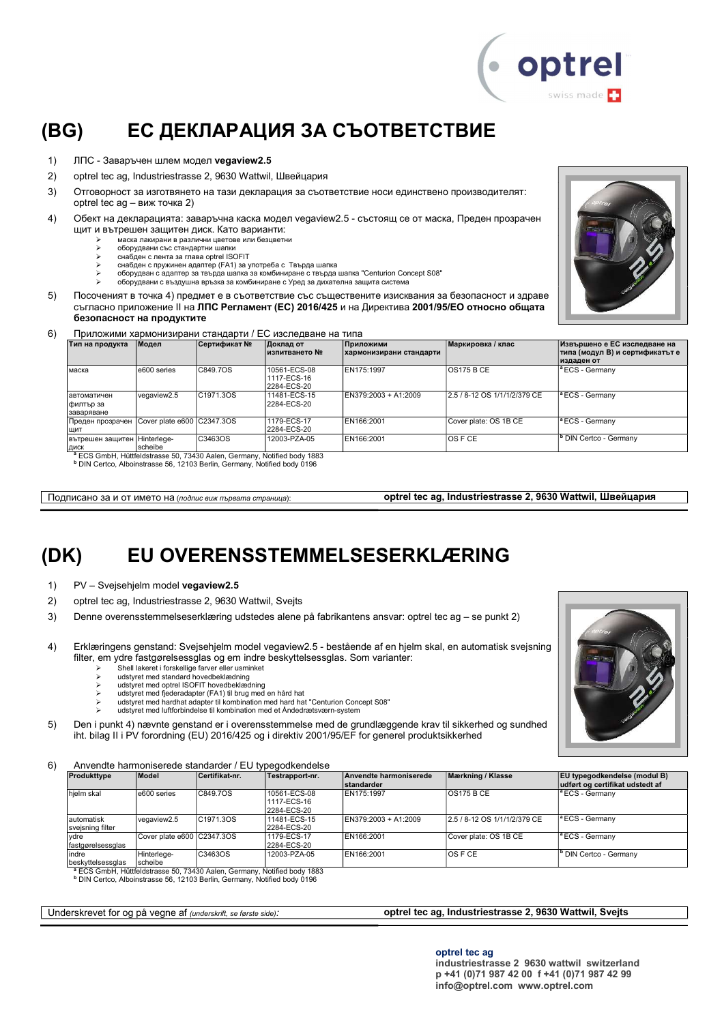

#### (BG) ЕС ДЕКЛАРАЦИЯ ЗА СЪОТВЕТСТВИЕ

- 1) ЛПС Заваръчен шлем модел vegaview2.5
- 2) optrel tec ag, Industriestrasse 2, 9630 Wattwil, Швейцария
- 3) Отговорност за изготвянето на тази декларация за съответствие носи единствено производителят: optrel tec ag – виж точка 2)
- 4) Обект на декларацията: заваръчна каска модел vegaview2.5 състоящ се от маска, Преден прозрачен щит и вътрешен защитен диск. Като варианти:
	- $\triangleright$  маска лакирани в различни цветове или безцветни
		- оборудвани със стандартни шапки
		- снабден с лента за глава optrel ISOFIT
	- снабден с пружинен адаптер (FA1) за употреба с Твърда шапка оборудван с адаптер за твърда шапка за комбиниране с твърда шапка "Centurion Concept S08"
		- оборудвани с въздушна връзка за комбиниране с Уред за дихателна защита система
- 5) Посоченият в точка 4) предмет е в съответствие със съществените изисквания за безопасност и здраве съгласно приложение ІІ на ЛПС Регламент (ЕС) 2016/425 и на Директива 2001/95/ЕО относно общата безопасност на продуктите



| 6) |  | Приложими хармонизирани стандарти / ЕС изследване на типа |  |
|----|--|-----------------------------------------------------------|--|
|    |  |                                                           |  |

| Тип на продукта                        | Модел                      | Сертификат №                                                                        | Доклад от<br>изпитването №                 | Приложими<br>хармонизирани стандарти | Маркировка / клас            | Извършено е ЕС изследване на<br>типа (модул В) и сертификатът е<br>издаден от |
|----------------------------------------|----------------------------|-------------------------------------------------------------------------------------|--------------------------------------------|--------------------------------------|------------------------------|-------------------------------------------------------------------------------|
| маска                                  | e600 series                | C849.7OS                                                                            | 10561-ECS-08<br>1117-ECS-16<br>2284-ECS-20 | EN175:1997                           | IOS175 B CE                  | <sup>a</sup> ECS - Germany                                                    |
| автоматичен<br>филтър за<br>заваряване | vegaview2.5                | C1971.3OS                                                                           | 11481-ECS-15<br>2284-ECS-20                | EN379:2003 + A1:2009                 | 2.5 / 8-12 OS 1/1/1/2/379 CE | <b>ECS - Germany</b>                                                          |
| Преден прозрачен<br>ЩИТ                | Cover plate e600 C2347.3OS |                                                                                     | 1179-ECS-17<br>2284-ECS-20                 | EN166:2001                           | Cover plate: OS 1B CE        | <sup>a</sup> ECS - Germany                                                    |
| вътрешен защитен Hinterlege-<br>ДИСК   | scheibe                    | C3463OS                                                                             | 12003-PZA-05                               | EN166:2001                           | IOS F CE                     | <sup>b</sup> DIN Certco - Germany                                             |
|                                        |                            | <sup>a</sup> ECS GmbH, Hüttfeldstrasse 50, 73430 Aalen, Germany, Notified body 1883 |                                            |                                      |                              |                                                                               |

b DIN Certco, Alboinstrasse 56, 12103 Berlin, Germany, Notified body 0196

Подписано за и от името на (подпис виж първата страница): **optrel tec ag, Industriestrasse 2, 9630 Wattwil, Швейцария** 

### (DK) EU OVERENSSTEMMELSESERKLÆRING

- 1) PV Svejsehjelm model vegaview2.5
- 2) optrel tec ag, Industriestrasse 2, 9630 Wattwil, Svejts
- 3) Denne overensstemmelseserklæring udstedes alene på fabrikantens ansvar: optrel tec ag se punkt 2)
- 4) Erklæringens genstand: Svejsehjelm model vegaview2.5 bestående af en hjelm skal, en automatisk svejsning filter, em ydre fastgørelsessglas og em indre beskyttelsessglas. Som varianter:
	- Shell lakeret i forskellige farver eller usminket
	- udstyret med standard hovedbeklædning udstyret med optrel ISOFIT hovedbeklædning
	-
	- udstyret med fjederadapter (FA1) til brug med en hård hat udstyret med hardhat adapter til kombination med hard hat "Centurion Concept S08"
		- udstyret med luftforbindelse til kombination med et Åndedrætsværn-system

5) Den i punkt 4) nævnte genstand er i overensstemmelse med de grundlæggende krav til sikkerhed og sundhed iht. bilag II i PV forordning (EU) 2016/425 og i direktiv 2001/95/EF for generel produktsikkerhed

6) Anvendte harmoniserede standarder / EU typegodkendelse

| Produkttype                     | Model                      | Certifikat-nr. | Testrapport-nr.                            | Anvendte harmoniserede<br>standarder | Mærkning / Klasse            | <b>EU</b> typegodkendelse (modul B)<br>udført og certifikat udstedt af |
|---------------------------------|----------------------------|----------------|--------------------------------------------|--------------------------------------|------------------------------|------------------------------------------------------------------------|
| hjelm skal                      | e600 series                | C849.7OS       | 10561-ECS-08<br>1117-ECS-16<br>2284-ECS-20 | EN175:1997                           | <b>OS175 B CE</b>            | <sup>a</sup> ECS - Germany                                             |
| lautomatisk<br>svejsning filter | vegaview2.5                | C1971.3OS      | 11481-ECS-15<br>2284-ECS-20                | EN379:2003 + A1:2009                 | 2.5 / 8-12 OS 1/1/1/2/379 CE | <sup>a</sup> ECS - Germany                                             |
| vdre<br> fastgørelsessglas      | Cover plate e600 C2347.3OS |                | 1179-ECS-17<br>2284-ECS-20                 | EN166:2001                           | Cover plate: OS 1B CE        | <sup>a</sup> ECS - Germany                                             |
| indre<br>beskyttelsessglas      | Hinterlege-<br>scheibe     | C3463OS        | 12003-PZA-05                               | EN166:2001                           | IOS F CE                     | <sup>b</sup> DIN Certco - Germany                                      |

b DIN Certco, Alboinstrasse 56, 12103 Berlin, Germany, Notified body 0196

#### Underskrevet for og på vegne af (underskrift, se første side): **optrel tec ag, Industriestrasse 2, 9630 Wattwil, Svejts**

optrel tec ag

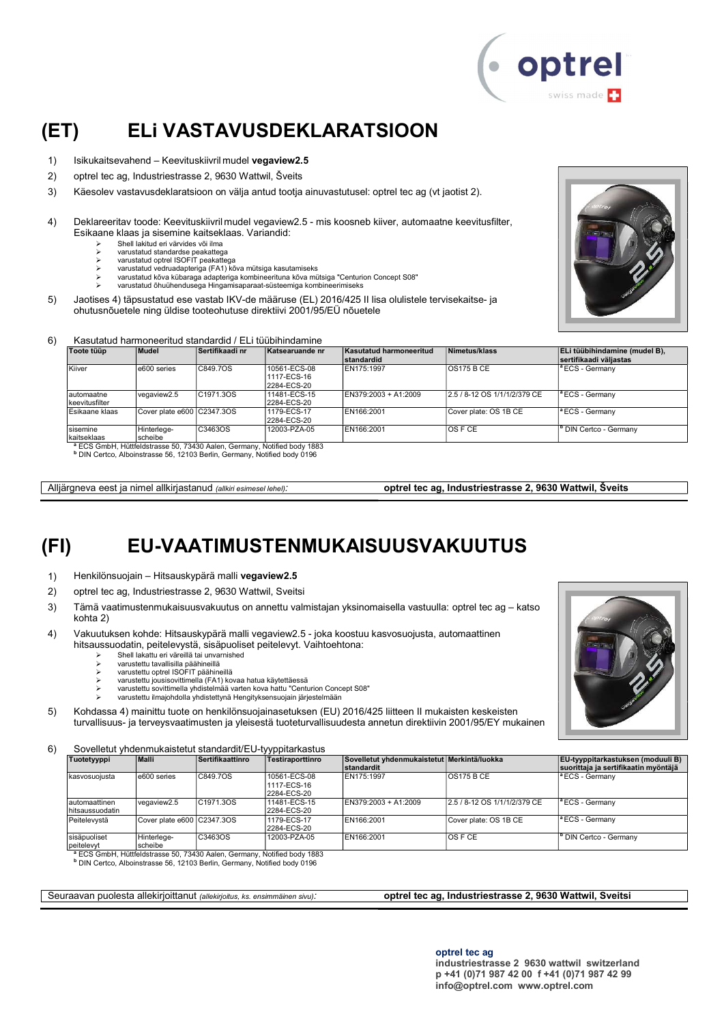

#### (ET) ELi VASTAVUSDEKLARATSIOON

- 1) Isikukaitsevahend Keevituskiivril mudel vegaview2.5
- 2) optrel tec ag, Industriestrasse 2, 9630 Wattwil, Šveits
- 3) Käesolev vastavusdeklaratsioon on välja antud tootja ainuvastutusel: optrel tec ag (vt jaotist 2).
- 4) Deklareeritav toode: Keevituskiivril mudel vegaview2.5 mis koosneb kiiver, automaatne keevitusfilter, Esikaane klaas ja sisemine kaitseklaas. Variandid:
	- $\geq$  Shell lakitud eri värvides või ilma
		- varustatud standardse peakattega varustatud optrel ISOFIT peakattega
		- varustatud vedruadapteriga (FA1) kõva mütsiga kasutamiseks
		- varustatud kõva kübaraga adapteriga kombineerituna kõva mütsiga "Centurion Concept S08" varustatud õhuühendusega Hingamisaparaat-süsteemiga kombineerimiseks
- 5) Jaotises 4) täpsustatud ese vastab IKV-de määruse (EL) 2016/425 II lisa olulistele tervisekaitse- ja ohutusnõuetele ning üldise tooteohutuse direktiivi 2001/95/EÜ nõuetele



#### 6) Kasutatud harmoneeritud standardid / ELi tüübihindamine

| Toote tüüp                   | Mudel                      | Sertifikaadi nr                                                                     | Katsearuande nr                            | Kasutatud harmoneeritud<br>standardid | Nimetus/klass                | ELi tüübihindamine (mudel B),<br>İsertifikaadi väliastas |
|------------------------------|----------------------------|-------------------------------------------------------------------------------------|--------------------------------------------|---------------------------------------|------------------------------|----------------------------------------------------------|
| Kiiver                       | e600 series                | C849.7OS                                                                            | 10561-ECS-08<br>1117-ECS-16<br>2284-ECS-20 | EN175:1997                            | <b>OS175 B CE</b>            | $\vert$ <sup>a</sup> ECS - Germany                       |
| automaatne<br>keevitusfilter | vegaview2.5                | C <sub>1971</sub> , 30S                                                             | 11481-ECS-15<br>2284-ECS-20                | EN379:2003 + A1:2009                  | 2.5 / 8-12 OS 1/1/1/2/379 CE | <sup>a</sup> ECS - Germany                               |
| Esikaane klaas               | Cover plate e600 C2347.3OS |                                                                                     | 1179-ECS-17<br>2284-ECS-20                 | EN166:2001                            | Cover plate: OS 1B CE        | <sup>a</sup> ECS - Germanv                               |
| sisemine<br>kaitseklaas      | Hinterlege-<br>Ischeibe    | C3463OS                                                                             | 12003-PZA-05                               | EN166:2001                            | IOS F CE                     | ' DIN Certco - Germany                                   |
|                              |                            | <sup>8</sup> ECS CmbH, Hüttfeldetrasse 50, 73430 Aalen, Cermany, Notified body 1883 |                                            |                                       |                              |                                                          |

<sup>a</sup> ECS GmbH, Hüttfeldstrasse 50, 73430 Aalen, Germany, Notified body 1883<br><sup>b</sup> DIN Certco, Alboinstrasse 56, 12103 Berlin, Germany, Notified body 0196

Alliärgneva eest ja nimel allkirjastanud *(allkiri esimesel lehel)*: **optrel tec ag, Industriestrasse 2, 9630 Wattwil, Šveits** 

#### (FI) EU-VAATIMUSTENMUKAISUUSVAKUUTUS

- 1) Henkilönsuojain Hitsauskypärä malli vegaview2.5
- 2) optrel tec ag, Industriestrasse 2, 9630 Wattwil, Sveitsi
- 3) Tämä vaatimustenmukaisuusvakuutus on annettu valmistajan yksinomaisella vastuulla: optrel tec ag katso kohta 2)
- 4) Vakuutuksen kohde: Hitsauskypärä malli vegaview2.5 joka koostuu kasvosuojusta, automaattinen hitsaussuodatin, peitelevystä, sisäpuoliset peitelevyt. Vaihtoehtona:
	- Shell lakattu eri väreillä tai unvarnished
	- varustettu tavallisilla päähineillä
	- varustettu optrel ISOFIT päähineillä
	- varustettu jousisovittimella (FA1) kovaa hatua käytettäessä varustettu sovittimella yhdistelmää varten kova hattu "Centurion Concept S08"
		- varustettu ilmajohdolla yhdistettynä Hengityksensuojain järjestelmään
- 5) Kohdassa 4) mainittu tuote on henkilönsuojainasetuksen (EU) 2016/425 liitteen II mukaisten keskeisten turvallisuus- ja terveysvaatimusten ja yleisestä tuoteturvallisuudesta annetun direktiivin 2001/95/EY mukainen
- 6) Sovelletut yhdenmukaistetut standardit/EU-tyyppitarkastus

| Tuotetyyppi                        | Malli                      | Sertifikaattinro | Testiraporttinro                           | Sovelletut vhdenmukaistetut Merkintä/luokka<br><b>standardit</b> |                              | <b>EU-tyyppitarkastuksen (moduuli B)</b><br>suorittaja ja sertifikaatin myöntäjä |
|------------------------------------|----------------------------|------------------|--------------------------------------------|------------------------------------------------------------------|------------------------------|----------------------------------------------------------------------------------|
| Ikasvosuoiusta                     | e600 series                | C849.7OS         | 10561-ECS-08<br>1117-ECS-16<br>2284-ECS-20 | EN175:1997                                                       | OS175BCE                     | <sup>1ª</sup> ECS - Germany                                                      |
| lautomaattinen<br>İhitsaussuodatin | vegaview2.5                | C1971.3OS        | 11481-ECS-15<br>2284-ECS-20                | EN379:2003 + A1:2009                                             | 2.5 / 8-12 OS 1/1/1/2/379 CE | <sup>1ª</sup> ECS - Germany                                                      |
| Peitelevystä                       | Cover plate e600 C2347.3OS |                  | 1179-ECS-17<br>2284-ECS-20                 | EN166:2001                                                       | Cover plate: OS 1B CE        | $\vert$ <sup>a</sup> ECS - Germany                                               |
| sisäpuoliset<br>peitelevyt         | Hinterlege-<br>scheibe     | C3463OS          | 12003-PZA-05                               | EN166:2001                                                       | $\overline{OS}$ F CE         | <b>b</b> DIN Certco - Germany                                                    |

<sup>a</sup> ECS GmbH, Hüttfeldstrasse 50, 73430 Aalen, Germany, Notified body 1883<br><sup>b</sup> DIN Certco, Alboinstrasse 56, 12103 Berlin, Germany, Notified body 0196

#### Seuraavan puolesta allekirjoittanut (allekirjoitus, ks. ensimmäinen sivu): **optrel tec ag, Industriestrasse 2, 9630 Wattwil, Sveitsi**

optrel tec ag

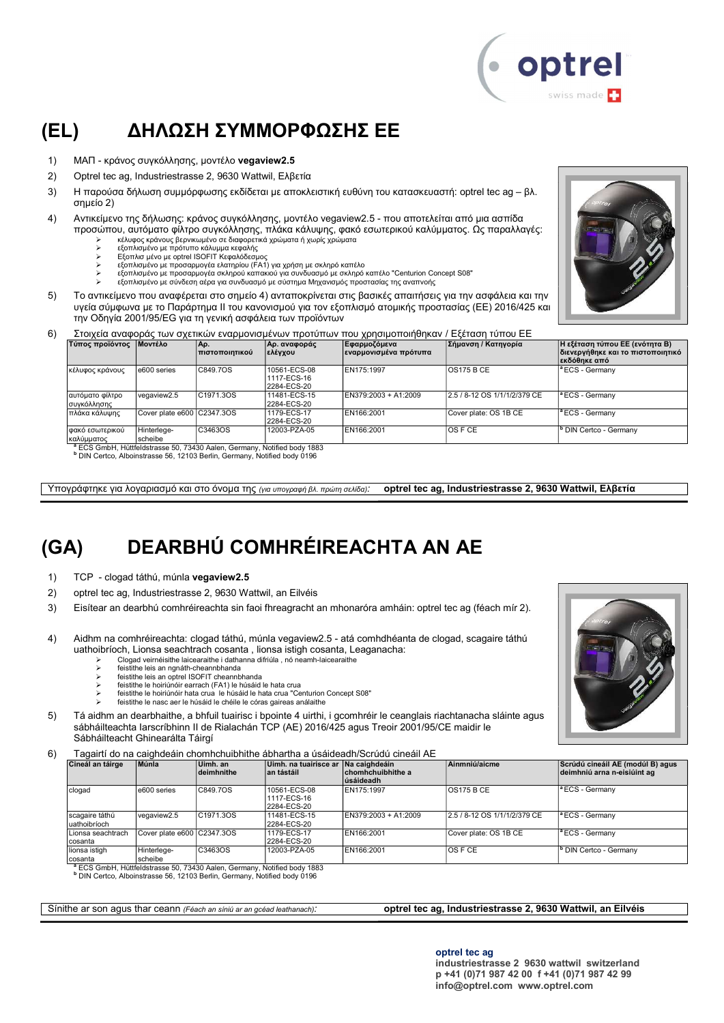

### (EL) ΔΗΛΩΣΗ ΣΥΜΜΟΡΦΩΣΗΣ ΕΕ

- 1) ΜΑΠ κράνος συγκόλλησης, μοντέλο vegaview2.5
- 2) Optrel tec ag, Industriestrasse 2, 9630 Wattwil, Ελβετία
- 3) Η παρούσα δήλωση συμμόρφωσης εκδίδεται με αποκλειστική ευθύνη του κατασκευαστή: optrel tec ag βλ. σημείο 2)
- 4) Αντικείμενο της δήλωσης: κράνος συγκόλλησης, μοντέλο vegaview2.5 που αποτελείται από μια ασπίδα προσώπου, αυτόματο φίλτρο συγκόλλησης, πλάκα κάλυψης, φακό εσωτερικού καλύμματος. Ως παραλλαγές:
	- κέλυφος κράνους βερνικωμένο σε διαφορετικά χρώματα ή χωρίς χρώματα
	- εξοπλισμένο με πρότυπο κάλυμμα κεφαλής Εξοπλισ μένο με optrel ISOFIT Κεφαλόδεσμος
	-
	- εξοπλισμένο με προσαρμογέα ελατηρίου (FA1) για χρήση με σκληρό καπέλο εξοπλισμένο με προσαρμογέα σκληρού καπακιού για συνδυασμό με σκληρό καπέλο "Centurion Concept S08"
		- εξοπλισμένο με σύνδεση αέρα για συνδυασμό με σύστημα Μηχανισμός προστασίας της αναπνοής
- 5) Το αντικείμενο που αναφέρεται στο σημείο 4) ανταποκρίνεται στις βασικές απαιτήσεις για την ασφάλεια και την υγεία σύμφωνα με το Παράρτημα II του κανονισμού για τον εξοπλισμό ατομικής προστασίας (ΕΕ) 2016/425 και την Οδηγία 2001/95/EG για τη γενική ασφάλεια των προϊόντων



| 6) |                         |                                  |              | Στοιχεια αναφοράς των σχετικών εναρμονισμένων προτύπων που χρησιμοποιήθηκαν / Εξέταση τύπου ΕΕ |                     |                                |
|----|-------------------------|----------------------------------|--------------|------------------------------------------------------------------------------------------------|---------------------|--------------------------------|
|    | Τύπος προϊόντος Μοντέλο | Ao.<br>_________________________ | Αρ. αναφοράς | Εφαρμοζόμενα                                                                                   | Σήμανση / Κατηγορία | Η εξέταση τύπου ΕΕ (ενότητα Β) |

|                                |                                                                                             | πιστοποιητικού         | ελέγχου                                    | εναρμονισμένα πρότυπα |                              | διενεργήθηκε και το πιστοποιητικό<br> εκδόθηκε από |
|--------------------------------|---------------------------------------------------------------------------------------------|------------------------|--------------------------------------------|-----------------------|------------------------------|----------------------------------------------------|
| κέλυφος κράνους                | e600 series                                                                                 | C849.7OS               | 10561-ECS-08<br>1117-ECS-16<br>2284-ECS-20 | EN175:1997            | <b>OS175 B CE</b>            | <sup>a</sup> ECS - Germany                         |
| αυτόματο φίλτρο<br>συγκόλλησης | vegaview2.5                                                                                 | C <sub>1971.3</sub> OS | 11481-ECS-15<br>2284-ECS-20                | EN379:2003 + A1:2009  | 2.5 / 8-12 OS 1/1/1/2/379 CE | $\vert$ <sup>a</sup> ECS - Germany                 |
| πλάκα κάλυψης                  | Cover plate e600 C2347.3OS                                                                  |                        | 1179-ECS-17<br>2284-ECS-20                 | EN166:2001            | Cover plate: OS 1B CE        | <sup>a</sup> ECS - Germany                         |
| φακό εσωτερικού<br>καλύμματος  | Hinterlege-<br>scheibe<br>ECC CmbU U0#foldatrosoo E0 79490 Aalan Cormany Natified body 1999 | C3463OS                | 12003-PZA-05                               | EN166:2001            | <b>OS F CE</b>               | <sup>Ib</sup> DIN Certco - Germany                 |

<sup>a</sup> ECS GmbH, Hüttfeldstrasse 50, 73430 Aalen, Germany, Notified body 1883<br><sup>b</sup> DIN Certco, Alboinstrasse 56, 12103 Berlin, Germany, Notified body 0196

Υπογράφτηκε για λογαριασμό και στο όνομα της (για υπογραφή βλ. πρώτη σελίδα): optrel tec ag, Industriestrasse 2, 9630 Wattwil, Ελβετία

### (GA) DEARBHÚ COMHRÉIREACHTA AN AE

- 1) TCP clogad táthú, múnla vegaview2.5
- 2) optrel tec ag, Industriestrasse 2, 9630 Wattwil, an Eilvéis
- 3) Eisítear an dearbhú comhréireachta sin faoi fhreagracht an mhonaróra amháin: optrel tec ag (féach mír 2).
- 4) Aidhm na comhréireachta: clogad táthú, múnla vegaview2.5 atá comhdhéanta de clogad, scagaire táthú uathoibríoch, Lionsa seachtrach cosanta , lionsa istigh cosanta, Leaganacha:
	- Clogad veirnéisithe laicearaithe i dathanna difriúla , nó neamh-laicearaithe
		- feistithe leis an ngnáth-cheannbhanda
		- feistithe leis an optrel ISOFIT cheannbhanda feistithe le hoiriúnóir earrach (FA1) le húsáid le hata crua
		- feistithe le hoiriúnóir hata crua le húsáid le hata crua "Centurion Concept S08"
		- feistithe le nasc aer le húsáid le chéile le córas gaireas análaithe
- 5) Tá aidhm an dearbhaithe, a bhfuil tuairisc i bpointe 4 uirthi, i gcomhréir le ceanglais riachtanacha sláinte agus sábháilteachta Iarscríbhinn II de Rialachán TCP (AE) 2016/425 agus Treoir 2001/95/CE maidir le Sábháilteacht Ghinearálta Táirgí

#### 6) Tagairtí do na caighdeáin chomhchuibhithe ábhartha a úsáideadh/Scrúdú cineáil AE

| Cineál an táirge               | Múnla                      | Uimh. an<br>deimhnithe | Uimh, na tuairisce ar Na caighdeáin<br>∣an tástáil | chomhchuibhithe a<br>lúsáideadh | Ainmniú/aicme                | Scrúdú cineáil AE (modúl B) agus<br>deimhniú arna n-eisiúint ag |
|--------------------------------|----------------------------|------------------------|----------------------------------------------------|---------------------------------|------------------------------|-----------------------------------------------------------------|
| clogad                         | e600 series                | C849.7OS               | 10561-ECS-08<br>1117-ECS-16<br>2284-ECS-20         | EN175:1997                      | <b>OS175 B CE</b>            | <sup>a</sup> ECS - Germany                                      |
| scagaire táthú<br>uathoibríoch | vegaview2.5                | C1971.3OS              | 11481-ECS-15<br>2284-ECS-20                        | EN379:2003 + A1:2009            | 2.5 / 8-12 OS 1/1/1/2/379 CE | <sup>a</sup> ECS - Germany                                      |
| Lionsa seachtrach<br>cosanta   | Cover plate e600 C2347.3OS |                        | 1179-ECS-17<br>12284-ECS-20                        | EN166:2001                      | Cover plate: OS 1B CE        | <sup>a</sup> ECS - Germany                                      |
| lionsa istigh<br>Icosanta      | Hinterlege-<br>scheibe     | C3463OS                | 12003-PZA-05                                       | EN166:2001                      | <b>OS F CE</b>               | DIN Certco - Germany                                            |

b DIN Certco, Alboinstrasse 56, 12103 Berlin, Germany, Notified body 0196

Sínithe ar son agus thar ceann (Féach an síniú ar an gcéad leathanach): **optrel tec ag, Industriestrasse 2, 9630 Wattwil, an Eilvéis** 

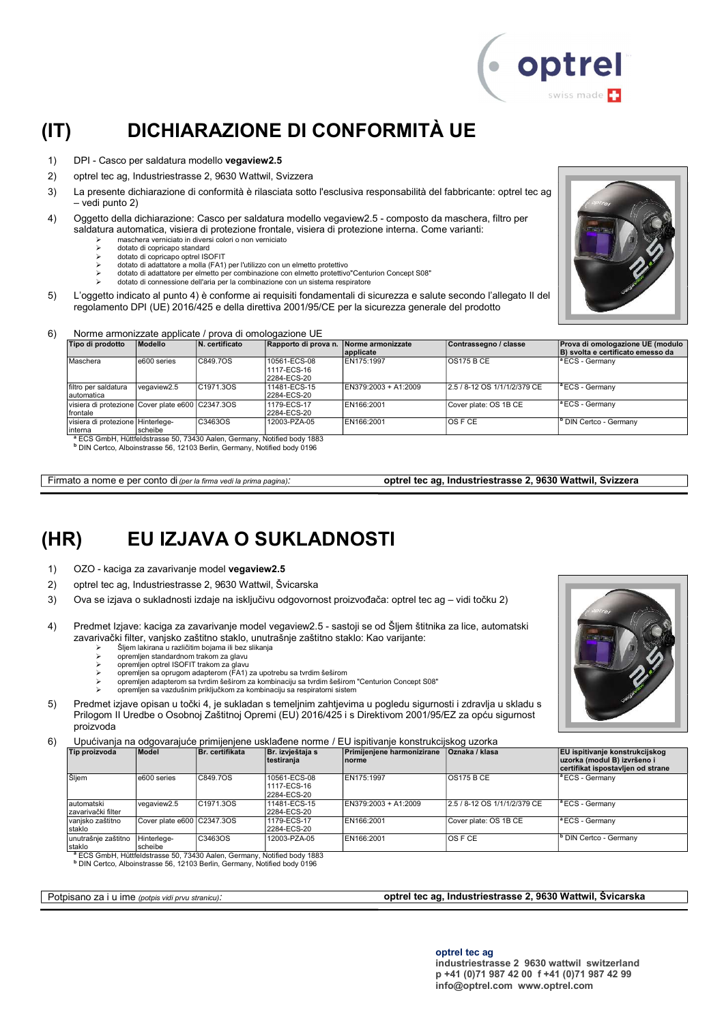

### (IT) DICHIARAZIONE DI CONFORMITÀ UE

- 1) DPI Casco per saldatura modello vegaview2.5
- 2) optrel tec ag, Industriestrasse 2, 9630 Wattwil, Svizzera
- 3) La presente dichiarazione di conformità è rilasciata sotto l'esclusiva responsabilità del fabbricante: optrel tec ag – vedi punto 2)
- 4) Oggetto della dichiarazione: Casco per saldatura modello vegaview2.5 composto da maschera, filtro per saldatura automatica, visiera di protezione frontale, visiera di protezione interna. Come varianti:
	- $\triangleright$  maschera verniciato in diversi colori o non verniciato
		- dotato di copricapo standard dotato di copricapo optrel ISOFIT
		-
	- dotato di adattatore a molla (FA1) per l'utilizzo con un elmetto protettivo dotato di adattatore per elmetto per combinazione con elmetto protettivo"Centurion Concept S08"
		- dotato di connessione dell'aria per la combinazione con un sistema respiratore
- 5) L'oggetto indicato al punto 4) è conforme ai requisiti fondamentali di sicurezza e salute secondo l'allegato II del regolamento DPI (UE) 2016/425 e della direttiva 2001/95/CE per la sicurezza generale del prodotto



#### 6) Norme armonizzate applicate / prova di omologazione UE

| Tipo di prodotto                                             | Modello     | N. certificato                                                                                 | Rapporto di prova n.                       | Norme armonizzate<br>applicate | Contrassegno / classe        | Prova di omologazione UE (modulo<br>B) svolta e certificato emesso da |
|--------------------------------------------------------------|-------------|------------------------------------------------------------------------------------------------|--------------------------------------------|--------------------------------|------------------------------|-----------------------------------------------------------------------|
| Maschera                                                     | e600 series | C849.7OS                                                                                       | 10561-ECS-08<br>1117-ECS-16<br>2284-ECS-20 | EN175:1997                     | <b>OS175 B CE</b>            | <sup>a</sup> ECS - Germanv                                            |
| filtro per saldatura<br>lautomatica                          | vegaview2.5 | C1971.3OS                                                                                      | 11481-ECS-15<br>2284-ECS-20                | EN379:2003 + A1:2009           | 2.5 / 8-12 OS 1/1/1/2/379 CE | <sup>a</sup> ECS - Germany                                            |
| visiera di protezione Cover plate e600 C2347.3OS<br>frontale |             |                                                                                                | 1179-ECS-17<br>2284-ECS-20                 | EN166:2001                     | Cover plate: OS 1B CE        | <sup>a</sup> ECS - Germany                                            |
| Ivisiera di protezione lHinterlege-<br>linterna              | scheibe     | C3463OS<br><sup>8</sup> ECS GmbH, Hüttfeldstrasse 50, 73430 Aalen, Germany, Notified body 1883 | 12003-PZA-05                               | EN166:2001                     | IOS F CE                     | <sup>B</sup> DIN Certco - Germany                                     |

<sup>a</sup> ECS GmbH, Hüttfeldstrasse 50, 73430 Aalen, Germany, Notified body 1883<br><sup>b</sup> DIN Certco, Alboinstrasse 56, 12103 Berlin, Germany, Notified body 0196

Firmato a nome e per conto di (per la firma vedi la prima pagina): optrel tec ag, Industriestrasse 2, 9630 Wattwil, Svizzera

#### (HR) EU IZJAVA O SUKLADNOSTI

- 1) OZO kaciga za zavarivanje model vegaview2.5
- 2) optrel tec ag, Industriestrasse 2, 9630 Wattwil, Švicarska
- 3) Ova se izjava o sukladnosti izdaje na isključivu odgovornost proizvođača: optrel tec ag vidi točku 2)
- 4) Predmet Izjave: kaciga za zavarivanje model vegaview2.5 sastoji se od Šljem štitnika za lice, automatski zavarivački filter, vanjsko zaštitno staklo, unutrašnje zaštitno staklo: Kao varijante:
	- Šljem lakirana u različitim bojama ili bez slikanja
	- opremljen standardnom trakom za glavu
	-
	- حاopremljen optrel ISOFIT trakom za glavu<br>خاص premljen sa oprugom adapterom (FA1) za upotrebu sa tvrdim šeširom<br>→ opremljen adapterom sa tvrdim šeširom za kombinaciju sa tvrdim šeširom "Centurion Concept S08"<br>→ opremljen
	-
- 5) Predmet izjave opisan u točki 4, je sukladan s temeljnim zahtjevima u pogledu sigurnosti i zdravlja u skladu s Prilogom II Uredbe o Osobnoj Zaštitnoj Opremi (EU) 2016/425 i s Direktivom 2001/95/EZ za opću sigurnost proizvoda

6) Upućivanja na odgovarajuće primijenjene usklađene norme / EU ispitivanje konstrukcijskog uzorka

| Tip proizvoda                      | Model                      | Br. certifikata | Br. izvještaja s<br> testiranja            | Primijenjene harmonizirane<br>Inorme | Oznaka / klasa               | <b>EU</b> ispitivanje konstrukcijskog<br>uzorka (modul B) izvršeno i<br>certifikat ispostavljen od strane |
|------------------------------------|----------------------------|-----------------|--------------------------------------------|--------------------------------------|------------------------------|-----------------------------------------------------------------------------------------------------------|
| Šljem                              | e600 series                | C849.7OS        | 10561-ECS-08<br>1117-ECS-16<br>2284-ECS-20 | EN175:1997                           | IOS175 B CE                  | <sup>a</sup> ECS - Germany                                                                                |
| lautomatski<br>İzavarivački filter | vegaview2.5                | C1971.3OS       | 11481-ECS-15<br>2284-ECS-20                | EN379:2003 + A1:2009                 | 2.5 / 8-12 OS 1/1/1/2/379 CE | <sup>a</sup> ECS - Germany                                                                                |
| vanjsko zaštitno<br>staklo         | Cover plate e600 C2347.3OS |                 | 1179-ECS-17<br>2284-ECS-20                 | EN166:2001                           | Cover plate: OS 1B CE        | <sup>a</sup> ECS - Germany                                                                                |
| unutrašnje zaštitno<br>staklo      | Hinterlege-<br>scheibe     | C3463OS         | 12003-PZA-05                               | EN166:2001                           | $OS$ F CE                    | <sup>b</sup> DIN Certco - Germany                                                                         |

staklo scheibe <sup>a</sup> ECS GmbH, Hüttfeldstrasse 50, 73430 Aalen, Germany, Notified body 1883 b DIN Certco, Alboinstrasse 56, 12103 Berlin, Germany, Notified body 0196

Potpisano za i u ime (potpis vidi prvu stranicu): optrel tec ag, Industriestrasse 2, 9630 Wattwil, Švicarska

optrel tec ag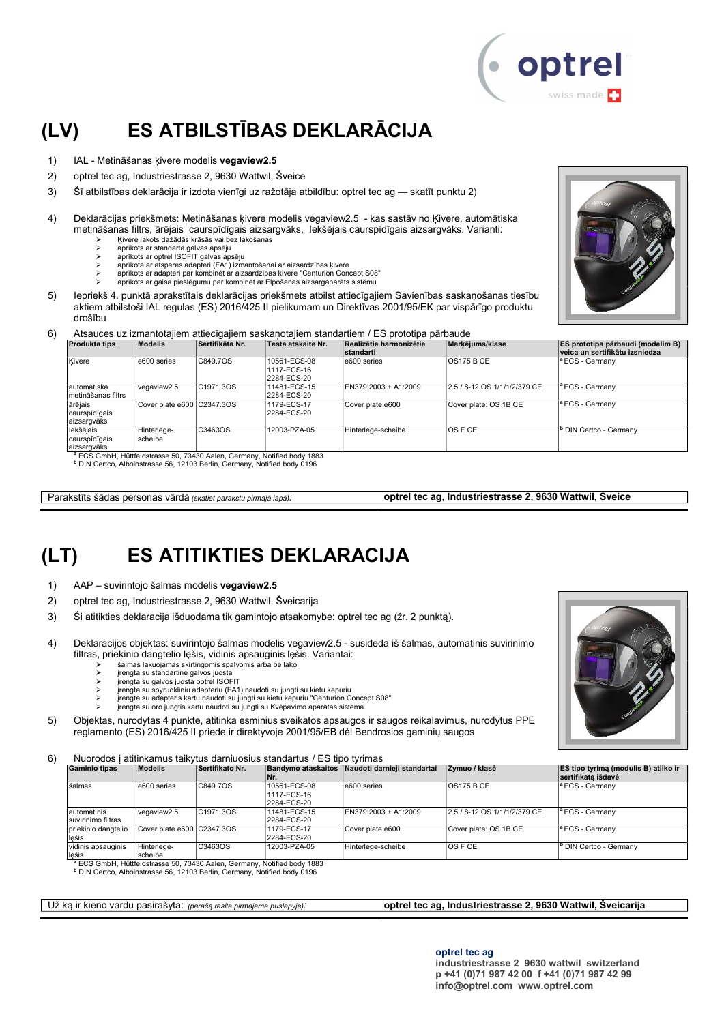

### (LV) ES ATBILSTĪBAS DEKLARĀCIJA

- 1) IAL Metināšanas kivere modelis vegaview2.5
- 2) optrel tec ag, Industriestrasse 2, 9630 Wattwil, Šveice
- 3) Šī atbilstības deklarācija ir izdota vienīgi uz ražotāja atbildību: optrel tec ag skatīt punktu 2)
- 4) Deklarācijas priekšmets: Metināšanas ķivere modelis vegaview2.5 kas sastāv no Ķivere, automātiska metināšanas filtrs, ārējais caurspīdīgais aizsargvāks, Iekšējais caurspīdīgais aizsargvāks. Varianti:
	- Ķivere lakots dažādās krāsās vai bez lakošanas
	- aprīkots ar standarta galvas apsēju aprīkots ar optrel ISOFIT galvas apsēju
		-
	- aprīkota ar atsperes adapteri (FA1) izmantošanai ar aizsardzības ķivere aprīkots ar adapteri par kombinēt ar aizsardzības ķivere "Centurion Concept S08"
		- aprīkots ar gaisa pieslēgumu par kombinēt ar Elpošanas aizsargaparāts sistēmu
- 5) Iepriekš 4. punktā aprakstītais deklarācijas priekšmets atbilst attiecīgajiem Savienības saskaņošanas tiesību aktiem atbilstoši IAL regulas (ES) 2016/425 II pielikumam un Direktīvas 2001/95/EK par vispārīgo produktu drošību



6) Atsauces uz izmantotajiem attiecīgajiem saskaņotajiem standartiem / ES prototipa pārbaude

| <b>Produkta tips</b>                       | <b>Modelis</b>             | Sertifikāta Nr. | Testa atskaite Nr.                                                                  | Realizētie harmonizētie<br><b>Istandarti</b> | Markējums/klase              | ES prototipa pārbaudi (modelim B)<br>veica un sertifikātu izsniedza |
|--------------------------------------------|----------------------------|-----------------|-------------------------------------------------------------------------------------|----------------------------------------------|------------------------------|---------------------------------------------------------------------|
| Kivere                                     | e600 series                | C849.7OS        | 10561-ECS-08<br>1117-ECS-16<br>2284-ECS-20                                          | e600 series                                  | <b>OS175 B CE</b>            | <sup>a</sup> ECS - Germany                                          |
| lautomātiska<br>Imetināšanas filtrs        | vegaview2.5                | C1971.3OS       | 11481-ECS-15<br>2284-ECS-20                                                         | EN379:2003 + A1:2009                         | 2.5 / 8-12 OS 1/1/1/2/379 CE | <sup>a</sup> ECS - Germanv                                          |
| ārējais<br>caurspīdīgais<br>aizsargvāks    | Cover plate e600 C2347.3OS |                 | 1179-ECS-17<br>2284-ECS-20                                                          | Cover plate e600                             | Cover plate: OS 1B CE        | <sup>a</sup> ECS - Germany                                          |
| lekšējais<br>caurspīdīgais<br>laizsargvāks | Hinterlege-<br>Ischeibe    | C3463OS         | 12003-PZA-05                                                                        | Hinterlege-scheibe                           | <b>OSFCE</b>                 | DIN Certco - Germany                                                |
|                                            |                            |                 | <sup>a</sup> ECS GmbH, Hüttfeldstrasse 50, 73430 Aalen, Germany, Notified body 1883 |                                              |                              |                                                                     |

b DIN Certco, Alboinstrasse 56, 12103 Berlin, Germany, Notified body 0196

Parakstīts šādas personas vārdā (skatiet parakstu pirmajā lapā): optrel tec ag, Industriestrasse 2, 9630 Wattwil, Šveice

#### (LT) ES ATITIKTIES DEKLARACIJA

- 1) AAP suvirintojo šalmas modelis vegaview2.5
- 2) optrel tec ag, Industriestrasse 2, 9630 Wattwil, Šveicarija
- 3) Ši atitikties deklaracija išduodama tik gamintojo atsakomybe: optrel tec ag (žr. 2 punktą).
- 4) Deklaracijos objektas: suvirintojo šalmas modelis vegaview2.5 susideda iš šalmas, automatinis suvirinimo filtras, priekinio dangtelio lęšis, vidinis apsauginis lęšis. Variantai:
	- šalmas lakuojamas skirtingomis spalvomis arba be lako
	- įrengta su standartine galvos juosta įrengta su galvos juosta optrel ISOFIT
	-
	- įrengta su spyruokliniu adapteriu (FA1) naudoti su jungti su kietu kepuriu įrengta su adapteris kartu naudoti su jungti su kietu kepuriu "Centurion Concept S08"
	- įrengta su oro jungtis kartu naudoti su jungti su Kvėpavimo aparatas sistema
	-
- 5) Objektas, nurodytas 4 punkte, atitinka esminius sveikatos apsaugos ir saugos reikalavimus, nurodytus PPE reglamento (ES) 2016/425 II priede ir direktyvoje 2001/95/EB dėl Bendrosios gaminių saugos

6) Nuorodos į atitinkamus taikytus darniuosius standartus / ES tipo tyrimas

| <b>Gaminio tipas</b>               | <b>Modelis</b>             | Sertifikato Nr.        | <b>Bandymo ataskaitos</b><br>INr.          | Naudoti darnieji standartai | Zvmuo / klasė                | <b>ES tipo tyrima (modulis B) atliko ir</b><br><b>Sertifikata išdavė</b> |
|------------------------------------|----------------------------|------------------------|--------------------------------------------|-----------------------------|------------------------------|--------------------------------------------------------------------------|
| šalmas                             | e600 series                | C849.70S               | 10561-ECS-08<br>1117-ECS-16<br>2284-ECS-20 | e600 series                 | <b>OS175 B CE</b>            | <sup>a</sup> ECS - Germany                                               |
| Iautomatinis<br>suvirinimo filtras | vegaview2.5                | C <sub>1971.3</sub> OS | 11481-ECS-15<br>2284-ECS-20                | EN379:2003 + A1:2009        | 2.5 / 8-12 OS 1/1/1/2/379 CE | <sup>a</sup> ECS - Germany                                               |
| Ipriekinio dangtelio<br>lešis      | Cover plate e600 C2347.3OS |                        | 1179-ECS-17<br>2284-ECS-20                 | Cover plate e600            | Cover plate: OS 1B CE        | <sup>a</sup> ECS - Germany                                               |
| vidinis apsauginis<br>llešis       | Hinterlege-<br>scheibe     | C3463OS                | 12003-PZA-05                               | Hinterlege-scheibe          | IOS F CE                     | <sup>b</sup> DIN Certco - Germany                                        |

<sup>a</sup> ECS GmbH, Hüttfeldstrasse 50, 73430 Aalen, Germany, Notified body 1883<br><sup>b</sup> DIN Certco, Alboinstrasse 56, 12103 Berlin, Germany, Notified body 0196

#### Už ką ir kieno vardu pasirašyta: (parašą rasite pirmajame puslapyje): optrel tec ag, Industriestrasse 2, 9630 Wattwil, Šveicarija

optrel tec ag

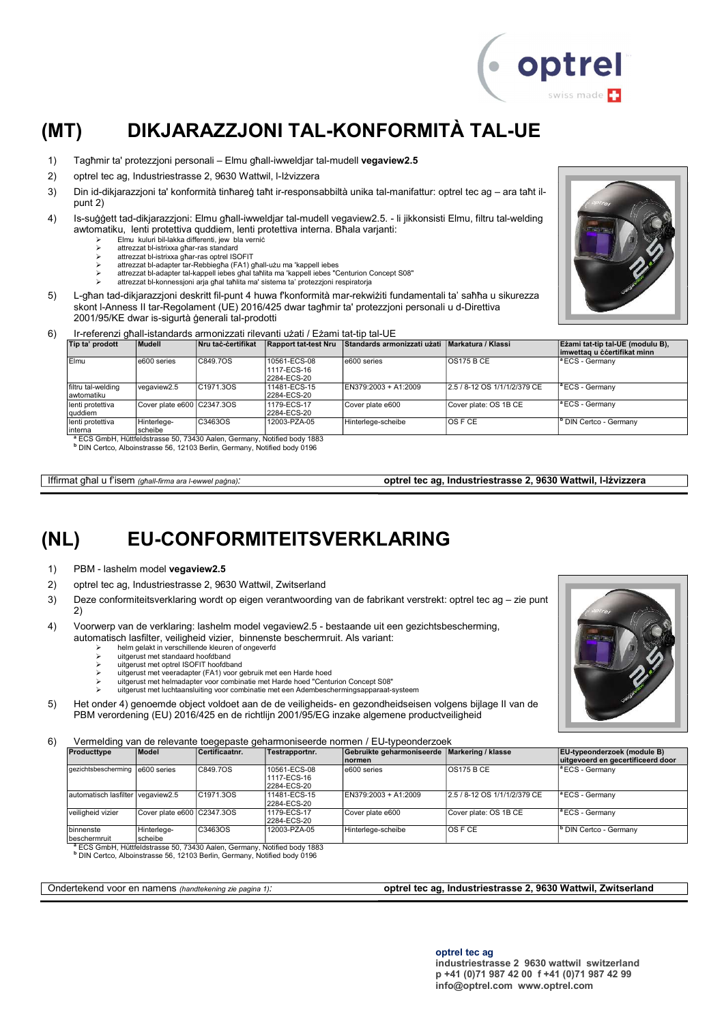

### (MT) DIKJARAZZJONI TAL-KONFORMITÀ TAL-UE

- 1) Tagħmir ta' protezzjoni personali Elmu għall-iwweldjar tal-mudell vegaview2.5
- 2) optrel tec ag, Industriestrasse 2, 9630 Wattwil, l-Iżvizzera
- 3) Din id-dikjarazzjoni ta' konformità tinħareġ taħt ir-responsabbiltà unika tal-manifattur: optrel tec ag ara taħt ilpunt 2)
- 4) Is-suġġett tad-dikjarazzjoni: Elmu għall-iwweldjar tal-mudell vegaview2.5. li jikkonsisti Elmu, filtru tal-welding awtomatiku, lenti protettiva quddiem, lenti protettiva interna. Bħala varjanti:
	- $\geq$  Elmu kuluri bil-lakka differenti, jew bla vernic<br>  $\geq$  attrezzat bl-istrixxa ghar-ras standard
		- attrezzat bl-istrixxa għar-ras standard
	- attrezzat bl-istrixxa għar-ras optrel ISOFIT
	- attrezzat bl-adapter tar-Rebbiegħa (FA1) għall-użu ma 'kappell iebes attrezzat bl-adapter tal-kappell iebes għal taħlita ma 'kappell iebes "Centurion Concept S08"
		- attrezzat bl-konnessjoni arja għal taħlita ma' sistema ta' protezzjoni respiratorja
- 5) L-għan tad-dikjarazzjoni deskritt fil-punt 4 huwa f'konformità mar-rekwiżiti fundamentali ta' saħħa u sikurezza skont l-Anness II tar-Regolament (UE) 2016/425 dwar tagħmir ta' protezzjoni personali u d-Direttiva<br>2001/95/KE dwar is-sigurtà denerali tal-prodotti

| 2001/95/KE dwar is-sigurtà generali tal-prodotti                                 |
|----------------------------------------------------------------------------------|
| Ir-referenzi ghall-istandards armonizzati rilevanti uzati / Ezami tat-tip tal-UE |

| Tip ta' prodott                   | Mudell                      | <b>Nru taċ-ċertifikat</b> | <b>Rapport tat-test Nru</b>                | Standards armonizzati użati   Markatura / Klassi |                              | Eżami tat-tip tal-UE (modulu B),<br>imwettag u ccertifikat minn |
|-----------------------------------|-----------------------------|---------------------------|--------------------------------------------|--------------------------------------------------|------------------------------|-----------------------------------------------------------------|
| Elmu                              | e600 series                 | C849.7OS                  | 10561-ECS-08<br>1117-ECS-16<br>2284-ECS-20 | e600 series                                      | <b>OS175 B CE</b>            | $^{\circ}$ ECS - Germany                                        |
| filtru tal-welding<br>lawtomatiku | vegaview2.5                 | C1971.3OS                 | 11481-ECS-15<br>2284-ECS-20                | EN379:2003 + A1:2009                             | 2.5 / 8-12 OS 1/1/1/2/379 CE | <sup>a</sup> ECS - Germany                                      |
| lenti protettiva<br> quddiem      | Cover plate e600 CC2347.3OS |                           | 1179-ECS-17<br>2284-ECS-20                 | Cover plate e600                                 | Cover plate: OS 1B CE        | <sup>a</sup> ECS - Germanv                                      |
| lenti protettiva<br>Iinterna      | Hinterlege-<br>scheibe      | C3463OS                   | 12003-PZA-05                               | Hinterlege-scheibe                               | <b>OSFCE</b>                 | <sup>b</sup> DIN Certco - Germany                               |

Iffirmat għal u f'isem (għall-firma ara l-ewwel paġna): **optrel tec ag, Industriestrasse 2, 9630 Wattwil, I-Iżvizzera** 

### (NL) EU-CONFORMITEITSVERKLARING

- 1) PBM lashelm model vegaview2.5
- 2) optrel tec ag, Industriestrasse 2, 9630 Wattwil, Zwitserland
- 3) Deze conformiteitsverklaring wordt op eigen verantwoording van de fabrikant verstrekt: optrel tec ag zie punt 2)
- 4) Voorwerp van de verklaring: lashelm model vegaview2.5 bestaande uit een gezichtsbescherming, automatisch lasfilter, veiligheid vizier, binnenste beschermruit. Als variant:
	- helm gelakt in verschillende kleuren of ongeverfd<br>
	> helm gelakt in verschillende kleuren of ongeverfd<br>
	> uitgerust met standaard hoofdband
	- uitgerust met standaard hoofdband
	- uitgerust met optrel ISOFIT hoofdband
	-
	- itgerust met veeradapter (FA1) voor gebruik met een Harde hoed<br>→ uitgerust met helmadapter voor combinatie met Harde hoed "Centurion Concept S08"<br>→ uitgerust met luchtaansluiting voor combinatie met een Adembeschermingsap
- 5) Het onder 4) genoemde object voldoet aan de de veiligheids- en gezondheidseisen volgens bijlage II van de PBM verordening (EU) 2016/425 en de richtlijn 2001/95/EG inzake algemene productveiligheid

6) Vermelding van de relevante toegepaste geharmoniseerde normen / EU-typeonderzoek

| Producttype                       | Model                      | Certificaatnr. | Testrapportnr.                             | Gebruikte geharmoniseerde Markering / klasse<br>Inormen |                              | <b>EU-typeonderzoek (module B)</b><br>uitgevoerd en gecertificeerd door |
|-----------------------------------|----------------------------|----------------|--------------------------------------------|---------------------------------------------------------|------------------------------|-------------------------------------------------------------------------|
| gezichtsbescherming   e600 series |                            | C849.7OS       | 10561-ECS-08<br>1117-ECS-16<br>2284-ECS-20 | e600 series                                             | <b>OS175 B CE</b>            | <sup>a</sup> ECS - Germany                                              |
| automatisch lasfilter vegaview2.5 |                            | C1971.3OS      | 11481-ECS-15<br>2284-ECS-20                | EN379:2003 + A1:2009                                    | 2.5 / 8-12 OS 1/1/1/2/379 CE | <sup>a</sup> ECS - Germany                                              |
| veiligheid vizier                 | Cover plate e600 C2347.3OS |                | 1179-ECS-17<br>2284-ECS-20                 | Cover plate e600                                        | Cover plate: OS 1B CE        | <sup>a</sup> ECS - Germany                                              |
| binnenste<br>beschermruit         | Hinterlege-<br>scheibe     | C3463OS        | 12003-PZA-05                               | Hinterlege-scheibe                                      | IOS F CE                     | DIN Certco - Germany                                                    |

<sup>a</sup> ECS GmbH, Hüttfeldstrasse 50, 73430 Aalen, Germany, Notified body 1883

b DIN Certco, Alboinstrasse 56, 12103 Berlin, Germany, Notified body 0196

Ondertekend voor en namens (handtekening zie pagina 1): **optrel tec ag, Industriestrasse 2, 9630 Wattwil, Zwitserland** 

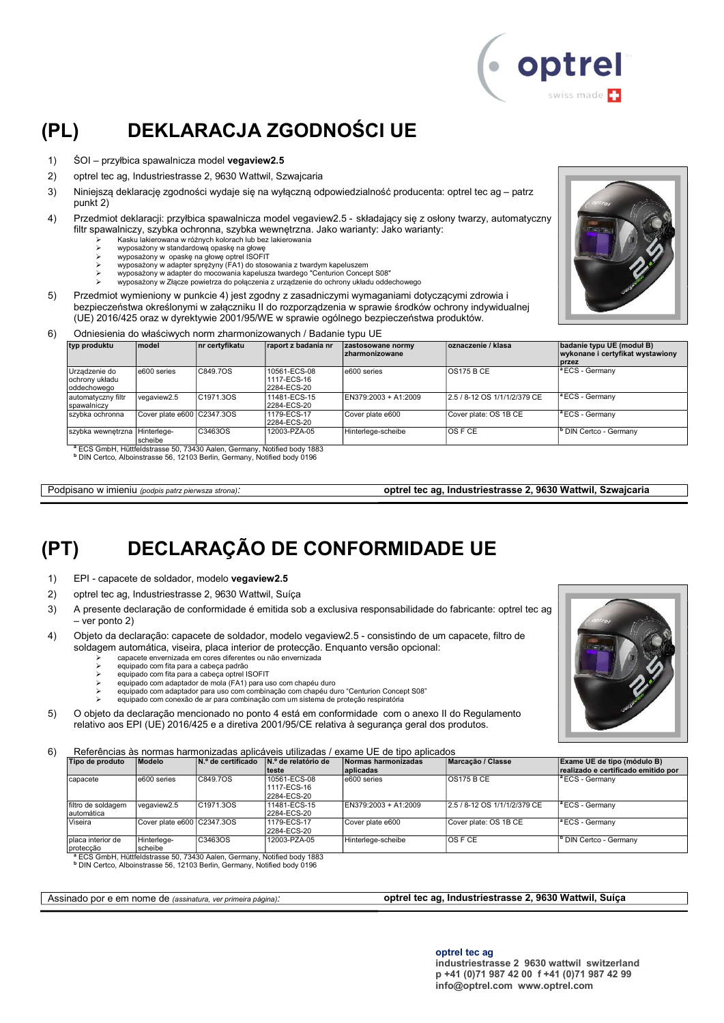

### (PL) DEKLARACJA ZGODNOŚCI UE

- 1) ŚOI przyłbica spawalnicza model vegaview2.5
- 2) optrel tec ag, Industriestrasse 2, 9630 Wattwil, Szwajcaria
- 3) Niniejszą deklarację zgodności wydaje się na wyłączną odpowiedzialność producenta: optrel tec ag patrz punkt 2)
- 4) Przedmiot deklaracji: przyłbica spawalnicza model vegaview2.5 składający się z osłony twarzy, automatyczny filtr spawalniczy, szybka ochronna, szybka wewnętrzna. Jako warianty: Jako warianty:
	- $\triangleright$  Kasku lakierowana w różnych kolorach lub bez lakierowania<br>
	https://www.standardowa.onaske.na.głowe
		- wyposażony w standardową opaskę na głowę wyposażony w opaskę na głowę optrel ISOFIT
		-
	- wyposażony w adapter sprężyny (FA1) do stosowania z twardym kapeluszem wyposażony w adapter do mocowania kapelusza twardego "Centurion Concept S08"
		- wyposażony w Złącze powietrza do połączenia z urządzenie do ochrony układu oddechowego
- 5) Przedmiot wymieniony w punkcie 4) jest zgodny z zasadniczymi wymaganiami dotyczącymi zdrowia i bezpieczeństwa określonymi w załączniku II do rozporządzenia w sprawie środków ochrony indywidualnej (UE) 2016/425 oraz w dyrektywie 2001/95/WE w sprawie ogólnego bezpieczeństwa produktów.
- 6) Odniesienia do właściwych norm zharmonizowanych / Badanie typu UE

| typ produktu                                    | <b>Imodel</b>               | nr certyfikatu        | raport z badania nr         | zastosowane normy<br><b>zharmonizowane</b> | oznaczenie / klasa           | badanie typu UE (moduł B)<br>wykonane i certyfikat wystawiony |
|-------------------------------------------------|-----------------------------|-----------------------|-----------------------------|--------------------------------------------|------------------------------|---------------------------------------------------------------|
|                                                 | e600 series                 | C849.7OS              | 10561-ECS-08                | le600 series                               | IOS175 B CE                  | <b>I</b> przez<br>$\vert$ <sup>a</sup> ECS - Germany          |
| Urzadzenie do<br>ochrony układu<br>loddechoweao |                             |                       | 1117-ECS-16<br>2284-ECS-20  |                                            |                              |                                                               |
| automatyczny filtr<br>spawalniczy               | vegaview2.5                 | C <sub>1971</sub> 30S | 11481-ECS-15<br>2284-ECS-20 | EN379:2003 + A1:2009                       | 2.5 / 8-12 OS 1/1/1/2/379 CE | <sup>a</sup> ECS - Germany                                    |
| szybka ochronna                                 | Cover plate e600 CC2347.3OS |                       | 1179-ECS-17<br>2284-ECS-20  | Cover plate e600                           | Cover plate: OS 1B CE        | <sup>a</sup> ECS - Germany                                    |
| szybka wewnętrzna Hinterlege-                   | scheibe                     | C3463OS               | 12003-PZA-05                | Hinterlege-scheibe                         | IOS F CE                     | <sup>b</sup> DIN Certco - Germany                             |

<sup>a</sup> ECS GmbH, Hüttfeldstrasse 50, 73430 Aalen, Germany, Notified body 1883<br><sup>b</sup> DIN Certco, Alboinstrasse 56, 12103 Berlin, Germany, Notified body 0196

Podpisano w imieniu (podpis patrz pierwsza strona): optrel tec ag, Industriestrasse 2, 9630 Wattwil, Szwajcaria

### (PT) DECLARAÇÃO DE CONFORMIDADE UE

- 1) EPI capacete de soldador, modelo vegaview2.5
- 2) optrel tec ag, Industriestrasse 2, 9630 Wattwil, Suíça
- 3) A presente declaração de conformidade é emitida sob a exclusiva responsabilidade do fabricante: optrel tec ag – ver ponto 2)
- 4) Objeto da declaração: capacete de soldador, modelo vegaview2.5 consistindo de um capacete, filtro de soldagem automática, viseira, placa interior de protecção. Enquanto versão opcional:
	- capacete envernizada em cores diferentes ou não envernizada
		- equipado com fita para a cabeça padrão
	- equipado com fita para a cabeça optrel ISOFIT equipado com adaptador de mola (FA1) para uso com chapéu duro
	-
	- equipado com adaptador para uso com combinação com chapéu duro "Centurion Concept S08" equipado com conexão de ar para combinação com um sistema de proteção respiratória
- 5) O objeto da declaração mencionado no ponto 4 está em conformidade com o anexo II do Regulamento relativo aos EPI (UE) 2016/425 e a diretiva 2001/95/CE relativa à segurança geral dos produtos.

6) Referências às normas harmonizadas aplicáveis utilizadas / exame UE de tipo aplicados

| Tipo de produto                   | Modelo                     | N.º de certificado                                                                  | IN.º de relatório de<br>teste              | Normas harmonizadas<br>aplicadas | Marcacão / Classe            | Exame UE de tipo (módulo B)<br>realizado e certificado emitido por |
|-----------------------------------|----------------------------|-------------------------------------------------------------------------------------|--------------------------------------------|----------------------------------|------------------------------|--------------------------------------------------------------------|
| capacete                          | e600 series                | C849.7OS                                                                            | 10561-ECS-08<br>1117-ECS-16<br>2284-ECS-20 | e600 series                      | <b>OS175 B CE</b>            | <sup>a</sup> ECS - Germany                                         |
| filtro de soldagem<br>Iautomática | vegaview2.5                | C1971.3OS                                                                           | 11481-ECS-15<br>2284-ECS-20                | EN379:2003 + A1:2009             | 2.5 / 8-12 OS 1/1/1/2/379 CE | <sup>a</sup> ECS - Germany                                         |
| Viseira                           | Cover plate e600 C2347.3OS |                                                                                     | 1179-ECS-17<br>2284-ECS-20                 | Cover plate e600                 | Cover plate: OS 1B CE        | <sup>a</sup> ECS - Germany                                         |
| Iplaca interior de<br>protecção   | Hinterlege-<br>Ischeibe    | C3463OS                                                                             | 12003-PZA-05                               | Hinterlege-scheibe               | IOS F CE                     | <sup>b</sup> DIN Certco - Germany                                  |
|                                   |                            | <sup>a</sup> ECS GmbH, Hüttfeldstrasse 50, 73430 Aalen, Germany, Notified body 1883 |                                            |                                  |                              |                                                                    |

b DIN Certco, Alboinstrasse 56, 12103 Berlin, Germany, Notified body 0196

#### Assinado por e em nome de (assinatura, ver primeira página): optrel tec ag, Industriestrasse 2, 9630 Wattwil, Suíça

optrel tec ag

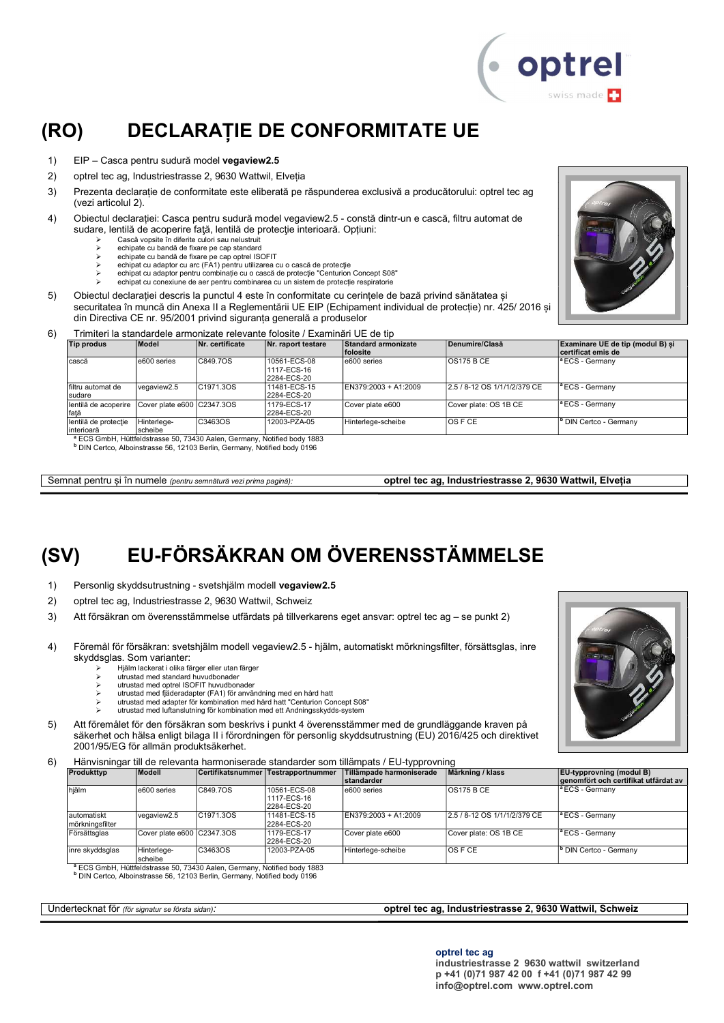

### (RO) DECLARAȚIE DE CONFORMITATE UE

- 1) EIP Casca pentru sudură model vegaview2.5
- 2) optrel tec ag, Industriestrasse 2, 9630 Wattwil, Elveția
- 3) Prezenta declarație de conformitate este eliberată pe răspunderea exclusivă a producătorului: optrel tec ag (vezi articolul 2).
- 4) Obiectul declarației: Casca pentru sudură model vegaview2.5 constă dintr-un e cască, filtru automat de sudare, lentilă de acoperire faţă, lentilă de protecţie interioară. Opțiuni:
	- $\triangleright$  Cască vopsite în diferite culori sau nelustruit
	- echipate cu bandă de fixare pe cap standard echipate cu bandă de fixare pe cap optrel ISOFIT
	-
	- echipat cu adaptor cu arc (FA1) pentru utilizarea cu o cască de protecţie echipat cu adaptor pentru combinație cu o cască de protecţie "Centurion Concept S08"
		- echipat cu conexiune de aer pentru combinarea cu un sistem de protecție respiratorie
- 5) Obiectul declarației descris la punctul 4 este în conformitate cu cerințele de bază privind sănătatea și securitatea în muncă din Anexa II a Reglementării UE EIP (Echipament individual de protecție) nr. 425/ 2016 și din Directiva CE nr. 95/2001 privind siguranța generală a produselor



| 6) | Trimiteri la standardele armonizate relevante folosite / Examinări UE de tip |  |  |
|----|------------------------------------------------------------------------------|--|--|
|    |                                                                              |  |  |

| Model                  | Nr. certificate | Nr. raport testare                         | <b>Standard armonizate</b><br><b>folosite</b> | Denumire/Clasă               | Examinare UE de tip (modul B) si<br>certificat emis de |
|------------------------|-----------------|--------------------------------------------|-----------------------------------------------|------------------------------|--------------------------------------------------------|
| e600 series            | C849.7OS        | 10561-ECS-08<br>1117-ECS-16<br>2284-ECS-20 | e600 series                                   | <b>OS175 B CE</b>            | <sup>a</sup> ECS - Germany                             |
| vegaview2.5            | C1971.3OS       | 11481-ECS-15<br>2284-ECS-20                | EN379:2003 + A1:2009                          | 2.5 / 8-12 OS 1/1/1/2/379 CE | $\vert$ <sup>a</sup> ECS - Germany                     |
|                        |                 | 1179-ECS-17<br>2284-ECS-20                 | Cover plate e600                              | Cover plate: OS 1B CE        | $^{\circ}$ ECS - Germany                               |
| Hinterlege-<br>scheibe | C3463OS         | 12003-PZA-05                               | Hinterlege-scheibe                            | IOS F CE                     | <sup>b</sup> DIN Certco - Germany                      |
|                        |                 | Cover plate e600 C2347.3OS                 |                                               |                              |                                                        |

<sup>a</sup> ECS GmbH, Hüttfeldstrasse 50, 73430 Aalen, Germany, Notified body 1883<br><sup>b</sup> DIN Certco, Alboinstrasse 56, 12103 Berlin, Germany, Notified body 0196

Semnat pentru și în numele (pentru semnătură vezi prima pagină): optrel tec ag, Industriestrasse 2, 9630 Wattwil, Elveția

### (SV) EU-FÖRSÄKRAN OM ÖVERENSSTÄMMELSE

- 1) Personlig skyddsutrustning svetshjälm modell vegaview2.5
- 2) optrel tec ag, Industriestrasse 2, 9630 Wattwil, Schweiz
- 3) Att försäkran om överensstämmelse utfärdats på tillverkarens eget ansvar: optrel tec ag se punkt 2)
- 4) Föremål för försäkran: svetshjälm modell vegaview2.5 hjälm, automatiskt mörkningsfilter, försättsglas, inre skyddsglas. Som varianter:
	- Hjälm lackerat i olika färger eller utan färger
	- utrustad med standard huvudbonader utrustad med optrel ISOFIT huvudbonader
	- utrustad med fjäderadapter (FA1) för användning med en hård hatt
	- utrustad med adapter för kombination med hård hatt "Centurion Concept S08"
	- utrustad med luftanslutning för kombination med ett Andningsskydds-system
- 5) Att föremålet för den försäkran som beskrivs i punkt 4 överensstämmer med de grundläggande kraven på säkerhet och hälsa enligt bilaga II i förordningen för personlig skyddsutrustning (EU) 2016/425 och direktivet 2001/95/EG för allmän produktsäkerhet.
- 6) Hänvisningar till de relevanta harmoniserade standarder som tillämpats / EU-typprovning

| Produkttyp                      | <b>Modell</b>              |           | Certifikatsnummer Testrapportnummer        | Tillämpade harmoniserade<br>Istandarder | Märkning / klass             | <b>EU</b> -typprovning (modul B)<br>genomfört och certifikat utfärdat av |
|---------------------------------|----------------------------|-----------|--------------------------------------------|-----------------------------------------|------------------------------|--------------------------------------------------------------------------|
| hiälm                           | e600 series                | C849.7OS  | 10561-ECS-08<br>1117-ECS-16<br>2284-ECS-20 | e600 series                             | <b>OS175 B CE</b>            | <sup>a</sup> ECS - Germany                                               |
| lautomatiskt<br>mörkningsfilter | vegaview2.5                | C1971.3OS | 11481-ECS-15<br>2284-ECS-20                | EN379:2003 + A1:2009                    | 2.5 / 8-12 OS 1/1/1/2/379 CE | <sup>a</sup> ECS - Germany                                               |
| Försättsglas                    | Cover plate e600 C2347.3OS |           | 1179-ECS-17<br>2284-ECS-20                 | Cover plate e600                        | Cover plate: OS 1B CE        | <sup>a</sup> ECS - Germany                                               |
| inre skyddsglas                 | Hinterlege-<br>scheibe     | C3463OS   | 12003-PZA-05                               | Hinterlege-scheibe                      | <b>OS F CE</b>               | <sup>b</sup> DIN Certco - Germany                                        |

<sup>a</sup> ECS GmbH, Hüttfeldstrasse 50, 73430 Aalen, Germany, Notified body 1883

b DIN Certco, Alboinstrasse 56, 12103 Berlin, Germany, Notified body 0196

#### Undertecknat för (för signatur se första sidan): **optrel tec ag, Industriestrasse 2, 9630 Wattwil, Schweiz** optrel tec ag, Industriestrasse 2, 9630 Wattwil, Schweiz

optrel tec ag

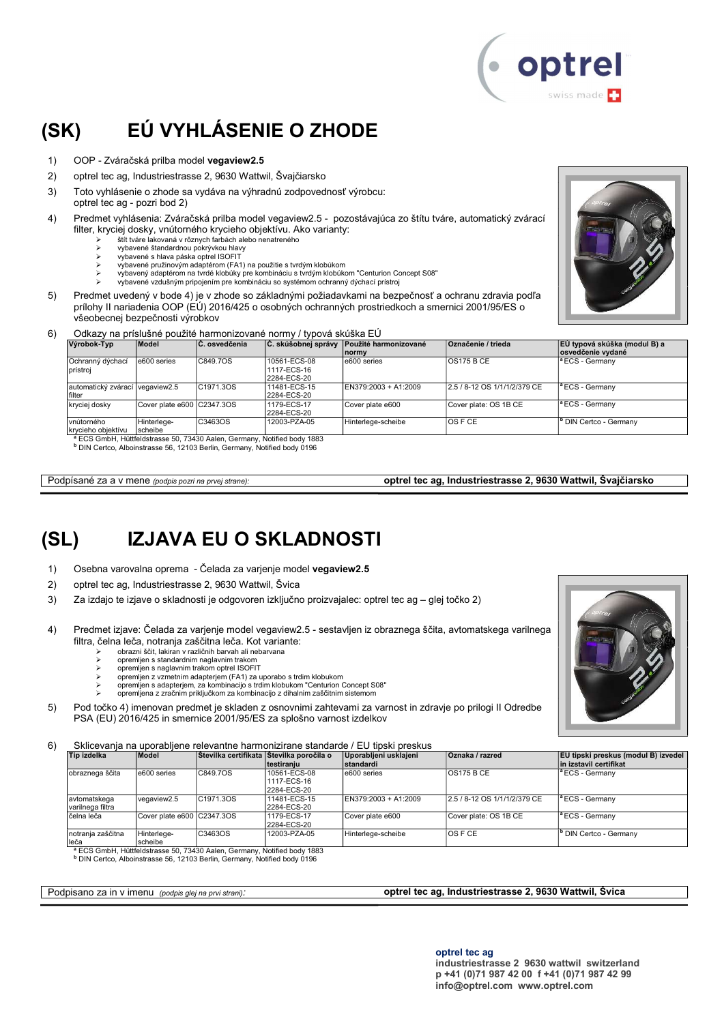### (SK) EÚ VYHLÁSENIE O ZHODE

- 1) OOP Zváračská prilba model vegaview2.5
- 2) optrel tec ag, Industriestrasse 2, 9630 Wattwil, Švajčiarsko
- 3) Toto vyhlásenie o zhode sa vydáva na výhradnú zodpovednosť výrobcu: optrel tec ag - pozri bod 2)
- 4) Predmet vyhlásenia: Zváračská prilba model vegaview2.5 pozostávajúca zo štítu tváre, automatický zvárací filter, kryciej dosky, vnútorného krycieho objektívu. Ako varianty:
	- štít tváre lakovaná v rôznych farbách alebo nenatreného
	- vybavené štandardnou pokrývkou hlavy
	- vybavené s hlava páska optrel ISOFIT
	- vybavené pružinovým adaptérom (FA1) na použitie s tvrdým klobúkom vybavený adaptérom na tvrdé klobúky pre kombináciu s tvrdým klobúkom "Centurion Concept S08"
		- vybavené vzdušným pripojením pre kombináciu so systémom ochranný dýchací prístroj
- 5) Predmet uvedený v bode 4) je v zhode so základnými požiadavkami na bezpečnosť a ochranu zdravia podľa prílohy II nariadenia OOP (EÚ) 2016/425 o osobných ochranných prostriedkoch a smernici 2001/95/ES o všeobecnej bezpečnosti výrobkov

#### 6) Odkazy na príslušné použité harmonizované normy / typová skúška EÚ<br>Extraonografia do skúšenia z do skúšenia z právy Použité ha  $\overrightarrow{C}$  skúšobnej správy  $\overrightarrow{P}$ oužité harmonizované  $\overrightarrow{O}$ značenie  $\overrightarrow{P}$ trieda

| Výrobok-Typ                                                                                                                                                                 | Model                      | C. osvedčenia | ∣Č. skúšobnej správy                       | Použité harmonizované<br><b>Inormy</b> | <b>Označenie / trieda</b>    | EÚ typová skúška (modul B) a<br>osvedčenie vydané |  |
|-----------------------------------------------------------------------------------------------------------------------------------------------------------------------------|----------------------------|---------------|--------------------------------------------|----------------------------------------|------------------------------|---------------------------------------------------|--|
| Ochranný dýchací<br>prístroi                                                                                                                                                | e600 series                | C849.7OS      | 10561-ECS-08<br>1117-ECS-16<br>2284-ECS-20 | e600 series                            | IOS175 B CE                  | <sup>a</sup> ECS - Germany                        |  |
| automatický zvárací vegaview2.5<br>filter                                                                                                                                   |                            | C1971.3OS     | 11481-ECS-15<br>2284-ECS-20                | EN379:2003 + A1:2009                   | 2.5 / 8-12 OS 1/1/1/2/379 CE | <sup>a</sup> ECS - Germany                        |  |
| kryciej dosky                                                                                                                                                               | Cover plate e600 C2347.3OS |               | 1179-ECS-17<br>2284-ECS-20                 | Cover plate e600                       | Cover plate: OS 1B CE        | <sup>a</sup> ECS - Germany                        |  |
| vnútorného<br>krycieho objektívu                                                                                                                                            | Hinterlege-<br>scheibe     | C3463OS       | 12003-PZA-05                               | Hinterlege-scheibe                     | <b>OSFCE</b>                 | <sup>b</sup> DIN Certco - Germany                 |  |
| <sup>a</sup> ECS GmbH, Hüttfeldstrasse 50, 73430 Aalen, Germany, Notified body 1883<br><sup>D</sup> DIN Certco, Alboinstrasse 56, 12103 Berlin, Germany, Notified body 0196 |                            |               |                                            |                                        |                              |                                                   |  |

Podpísané za a v mene (podpis pozri na prvej strane): **optrel tec ag, Industriestrasse 2, 9630 Wattwil, Švajčiarsko** 

# (SL) IZJAVA EU O SKLADNOSTI

- 1) Osebna varovalna oprema Čelada za varjenje model vegaview2.5
- 2) optrel tec ag, Industriestrasse 2, 9630 Wattwil, Švica
- 3) Za izdajo te izjave o skladnosti je odgovoren izključno proizvajalec: optrel tec ag glej točko 2)
- 4) Predmet izjave: Čelada za varjenje model vegaview2.5 sestavljen iz obraznega ščita, avtomatskega varilnega filtra, čelna leča, notranja zaščitna leča. Kot variante:
	- obrazni ščit, lakiran v različnih barvah ali nebarvana opremljen s standardnim naglavnim trakom
	- opremljen s naglavnim trakom optrel ISOFIT
	- opremljen z vzmetnim adapterjem (FA1) za uporabo s trdim klobukom opremljen s adapterjem, za kombinacijo s trdim klobukom "Centurion Concept S08"
	- opremljena z zračnim priključkom za kombinacijo z dihalnim zaščitnim sistemom
	-
- 5) Pod točko 4) imenovan predmet je skladen z osnovnimi zahtevami za varnost in zdravje po prilogi II Odredbe PSA (EU) 2016/425 in smernice 2001/95/ES za splošno varnost izdelkov

6) Sklicevanja na uporabljene relevantne harmonizirane standarde / EU tipski preskus

| Tip izdelka                      | Model                      |                        | Stevilka certifikata Stevilka poročila o<br>Itestiraniu | Uporabljeni usklajeni<br><b>standardi</b> | Oznaka / razred              | EU tipski preskus (modul B) izvedel<br>in izstavil certifikat |
|----------------------------------|----------------------------|------------------------|---------------------------------------------------------|-------------------------------------------|------------------------------|---------------------------------------------------------------|
| obraznega ščita                  | e600 series                | C849.7OS               | 10561-ECS-08<br>1117-ECS-16<br>2284-ECS-20              | e600 series                               | <b>OS175 B CE</b>            | <sup>a</sup> ECS - Germanv                                    |
| avtomatskega<br>varilnega filtra | vegaview2.5                | C <sub>1971.3</sub> OS | 11481-ECS-15<br>2284-ECS-20                             | EN379:2003 + A1:2009                      | 2.5 / 8-12 OS 1/1/1/2/379 CE | <sup>1</sup> ECS - Germany                                    |
| lčelna leča                      | Cover plate e600 C2347.3OS |                        | 1179-ECS-17<br>2284-ECS-20                              | Cover plate e600                          | Cover plate: OS 1B CE        | <sup>a</sup> ECS - Germany                                    |
| notranja zaščitna<br>leča        | Hinterlege-<br>scheibe     | C3463OS                | 12003-PZA-05                                            | Hinterlege-scheibe                        | <b>OSFCE</b>                 | <sup>I</sup> <sup>b</sup> DIN Certco - Germanv                |

<sup>a</sup> ECS GmbH, Hüttfeldstrasse 50, 73430 Aalen, Germany, Notified body 1883<br><sup>b</sup> DIN Certco, Alboinstrasse 56, 12103 Berlin, Germany, Notified body 0196

Podpisano za in v imenu (podpis glej na prvi strani): **optrel tec ag, Industriestrasse 2, 9630 Wattwil, Švica**